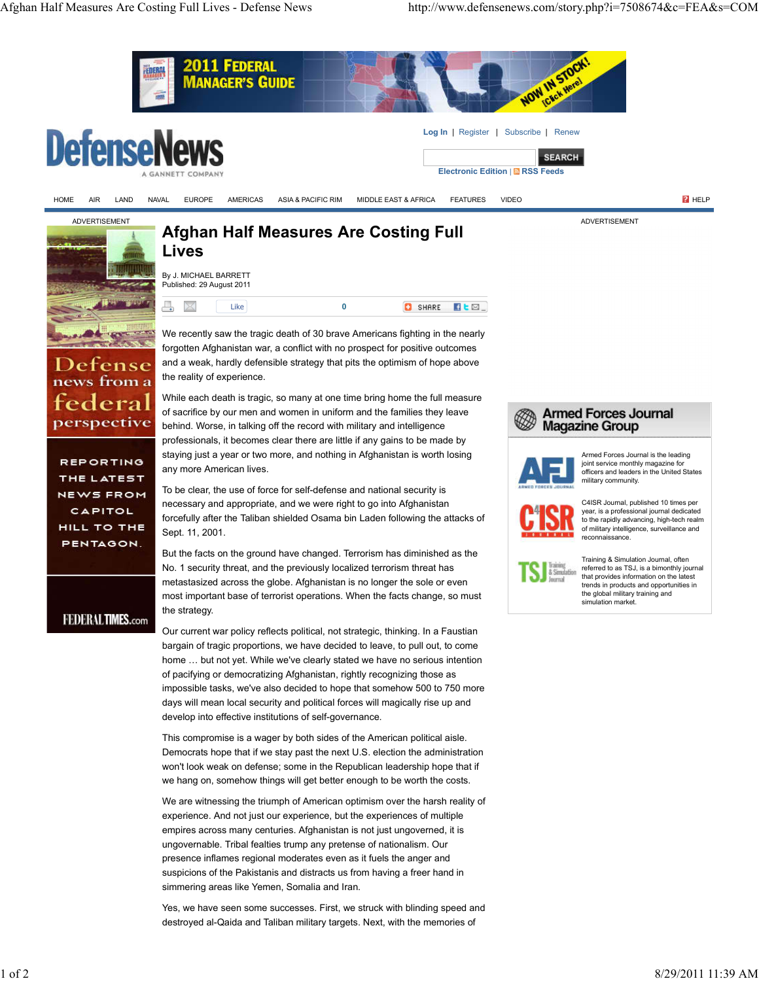